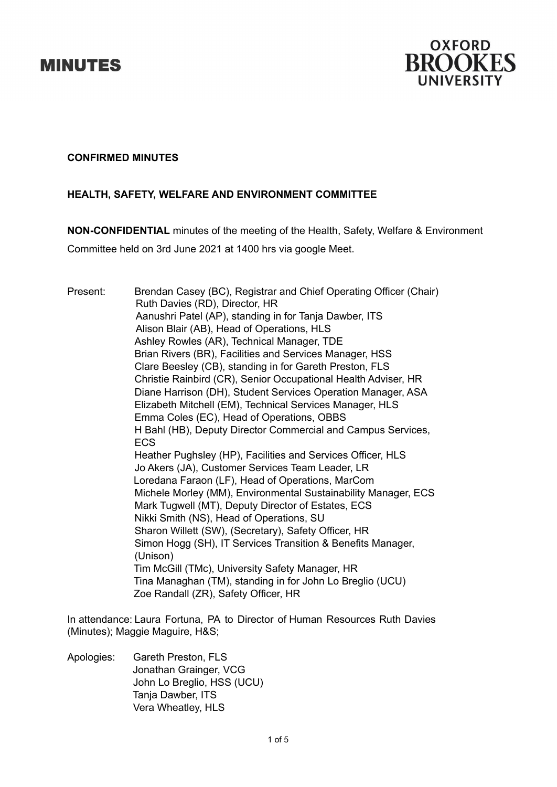



## **CONFIRMED MINUTES**

# **HEALTH, SAFETY, WELFARE AND ENVIRONMENT COMMITTEE**

**NON-CONFIDENTIAL** minutes of the meeting of the Health, Safety, Welfare & Environment

Committee held on 3rd June 2021 at 1400 hrs via google Meet.

Present: Brendan Casey (BC), Registrar and Chief Operating Officer (Chair) Ruth Davies (RD), Director, HR Aanushri Patel (AP), standing in for Tanja Dawber, ITS Alison Blair (AB), Head of Operations, HLS Ashley Rowles (AR), Technical Manager, TDE Brian Rivers (BR), Facilities and Services Manager, HSS Clare Beesley (CB), standing in for Gareth Preston, FLS Christie Rainbird (CR), Senior Occupational Health Adviser, HR Diane Harrison (DH), Student Services Operation Manager, ASA Elizabeth Mitchell (EM), Technical Services Manager, HLS Emma Coles (EC), Head of Operations, OBBS H Bahl (HB), Deputy Director Commercial and Campus Services, ECS Heather Pughsley (HP), Facilities and Services Officer, HLS Jo Akers (JA), Customer Services Team Leader, LR Loredana Faraon (LF), Head of Operations, MarCom Michele Morley (MM), Environmental Sustainability Manager, ECS Mark Tugwell (MT), Deputy Director of Estates, ECS Nikki Smith (NS), Head of Operations, SU Sharon Willett (SW), (Secretary), Safety Officer, HR Simon Hogg (SH), IT Services Transition & Benefits Manager, (Unison) Tim McGill (TMc), University Safety Manager, HR Tina Managhan (TM), standing in for John Lo Breglio (UCU) Zoe Randall (ZR), Safety Officer, HR

In attendance: Laura Fortuna, PA to Director of Human Resources Ruth Davies (Minutes); Maggie Maguire, H&S;

Apologies: Gareth Preston, FLS Jonathan Grainger, VCG John Lo Breglio, HSS (UCU) Tanja Dawber, ITS Vera Wheatley, HLS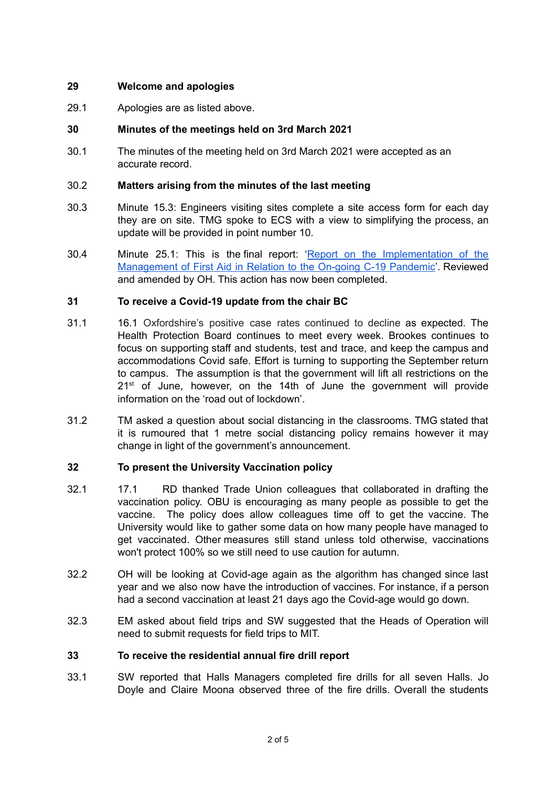# **29 Welcome and apologies**

29.1 Apologies are as listed above.

# **30 Minutes of the meetings held on 3rd March 2021**

30.1 The minutes of the meeting held on 3rd March 2021 were accepted as an accurate record.

## 30.2 **Matters arising from the minutes of the last meeting**

- 30.3 Minute 15.3: Engineers visiting sites complete a site access form for each day they are on site. TMG spoke to ECS with a view to simplifying the process, an update will be provided in point number 10.
- 30.4 Minute 25.1: This is the final report: 'Report on the [Implementation](https://drive.google.com/file/d/1k04oNP5CKt52KoI3NkOIUb8tejRYeNBs/view?usp=sharing) of the [Management](https://drive.google.com/file/d/1k04oNP5CKt52KoI3NkOIUb8tejRYeNBs/view?usp=sharing) of First Aid in Relation to the On-going C-19 Pandemic'. Reviewed and amended by OH. This action has now been completed.

# **31 To receive a Covid-19 update from the chair BC**

- 31.1 16.1 Oxfordshire's positive case rates continued to decline as expected. The Health Protection Board continues to meet every week. Brookes continues to focus on supporting staff and students, test and trace, and keep the campus and accommodations Covid safe. Effort is turning to supporting the September return to campus. The assumption is that the government will lift all restrictions on the 21<sup>st</sup> of June, however, on the 14th of June the government will provide information on the 'road out of lockdown'.
- 31.2 TM asked a question about social distancing in the classrooms. TMG stated that it is rumoured that 1 metre social distancing policy remains however it may change in light of the government's announcement.

## **32 To present the University Vaccination policy**

- 32.1 17.1 RD thanked Trade Union colleagues that collaborated in drafting the vaccination policy. OBU is encouraging as many people as possible to get the vaccine. The policy does allow colleagues time off to get the vaccine. The University would like to gather some data on how many people have managed to get vaccinated. Other measures still stand unless told otherwise, vaccinations won't protect 100% so we still need to use caution for autumn.
- 32.2 OH will be looking at Covid-age again as the algorithm has changed since last year and we also now have the introduction of vaccines. For instance, if a person had a second vaccination at least 21 days ago the Covid-age would go down.
- 32.3 EM asked about field trips and SW suggested that the Heads of Operation will need to submit requests for field trips to MIT.

## **33 To receive the residential annual fire drill report**

33.1 SW reported that Halls Managers completed fire drills for all seven Halls. Jo Doyle and Claire Moona observed three of the fire drills. Overall the students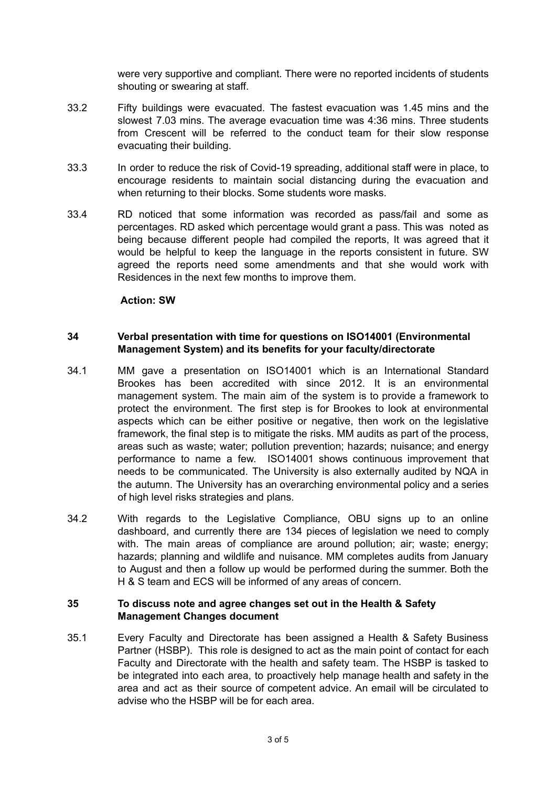were very supportive and compliant. There were no reported incidents of students shouting or swearing at staff.

- 33.2 Fifty buildings were evacuated. The fastest evacuation was 1.45 mins and the slowest 7.03 mins. The average evacuation time was 4:36 mins. Three students from Crescent will be referred to the conduct team for their slow response evacuating their building.
- 33.3 In order to reduce the risk of Covid-19 spreading, additional staff were in place, to encourage residents to maintain social distancing during the evacuation and when returning to their blocks. Some students wore masks.
- 33.4 RD noticed that some information was recorded as pass/fail and some as percentages. RD asked which percentage would grant a pass. This was noted as being because different people had compiled the reports, It was agreed that it would be helpful to keep the language in the reports consistent in future. SW agreed the reports need some amendments and that she would work with Residences in the next few months to improve them.

## **Action: SW**

## **34 Verbal presentation with time for questions on ISO14001 (Environmental Management System) and its benefits for your faculty/directorate**

- 34.1 MM gave a presentation on ISO14001 which is an International Standard Brookes has been accredited with since 2012. It is an environmental management system. The main aim of the system is to provide a framework to protect the environment. The first step is for Brookes to look at environmental aspects which can be either positive or negative, then work on the legislative framework, the final step is to mitigate the risks. MM audits as part of the process, areas such as waste; water; pollution prevention; hazards; nuisance; and energy performance to name a few. ISO14001 shows continuous improvement that needs to be communicated. The University is also externally audited by NQA in the autumn. The University has an overarching environmental policy and a series of high level risks strategies and plans.
- 34.2 With regards to the Legislative Compliance, OBU signs up to an online dashboard, and currently there are 134 pieces of legislation we need to comply with. The main areas of compliance are around pollution; air; waste; energy; hazards; planning and wildlife and nuisance. MM completes audits from January to August and then a follow up would be performed during the summer. Both the H & S team and ECS will be informed of any areas of concern.

## **35 To discuss note and agree changes set out in the Health & Safety Management Changes document**

35.1 Every Faculty and Directorate has been assigned a Health & Safety Business Partner (HSBP). This role is designed to act as the main point of contact for each Faculty and Directorate with the health and safety team. The HSBP is tasked to be integrated into each area, to proactively help manage health and safety in the area and act as their source of competent advice. An email will be circulated to advise who the HSBP will be for each area.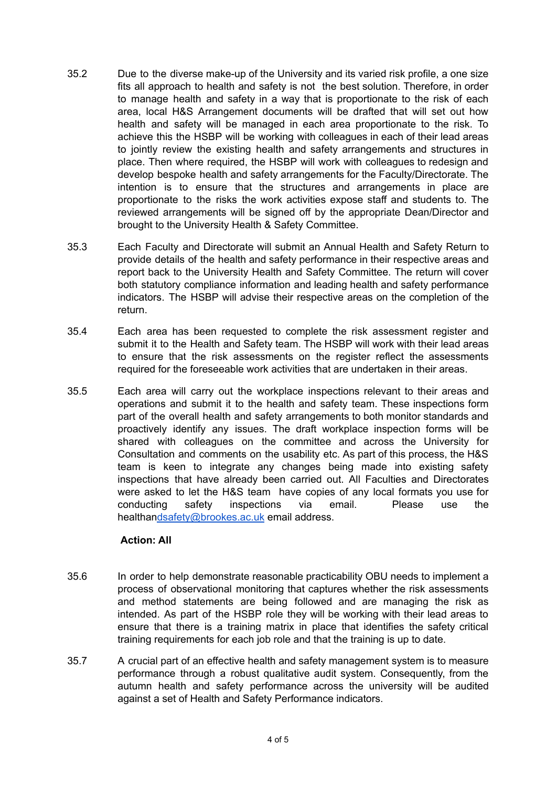- 35.2 Due to the diverse make-up of the University and its varied risk profile, a one size fits all approach to health and safety is not the best solution. Therefore, in order to manage health and safety in a way that is proportionate to the risk of each area, local H&S Arrangement documents will be drafted that will set out how health and safety will be managed in each area proportionate to the risk. To achieve this the HSBP will be working with colleagues in each of their lead areas to jointly review the existing health and safety arrangements and structures in place. Then where required, the HSBP will work with colleagues to redesign and develop bespoke health and safety arrangements for the Faculty/Directorate. The intention is to ensure that the structures and arrangements in place are proportionate to the risks the work activities expose staff and students to. The reviewed arrangements will be signed off by the appropriate Dean/Director and brought to the University Health & Safety Committee.
- 35.3 Each Faculty and Directorate will submit an Annual Health and Safety Return to provide details of the health and safety performance in their respective areas and report back to the University Health and Safety Committee. The return will cover both statutory compliance information and leading health and safety performance indicators. The HSBP will advise their respective areas on the completion of the return.
- 35.4 Each area has been requested to complete the risk assessment register and submit it to the Health and Safety team. The HSBP will work with their lead areas to ensure that the risk assessments on the register reflect the assessments required for the foreseeable work activities that are undertaken in their areas.
- 35.5 Each area will carry out the workplace inspections relevant to their areas and operations and submit it to the health and safety team. These inspections form part of the overall health and safety arrangements to both monitor standards and proactively identify any issues. The draft workplace inspection forms will be shared with colleagues on the committee and across the University for Consultation and comments on the usability etc. As part of this process, the H&S team is keen to integrate any changes being made into existing safety inspections that have already been carried out. All Faculties and Directorates were asked to let the H&S team have copies of any local formats you use for conducting safety inspections via email. Please use the [healthandsafety@brookes.ac.uk](mailto:healthandsafety@brookes.ac.uk) email address.

# **Action: All**

- 35.6 In order to help demonstrate reasonable practicability OBU needs to implement a process of observational monitoring that captures whether the risk assessments and method statements are being followed and are managing the risk as intended. As part of the HSBP role they will be working with their lead areas to ensure that there is a training matrix in place that identifies the safety critical training requirements for each job role and that the training is up to date.
- 35.7 A crucial part of an effective health and safety management system is to measure performance through a robust qualitative audit system. Consequently, from the autumn health and safety performance across the university will be audited against a set of Health and Safety Performance indicators.